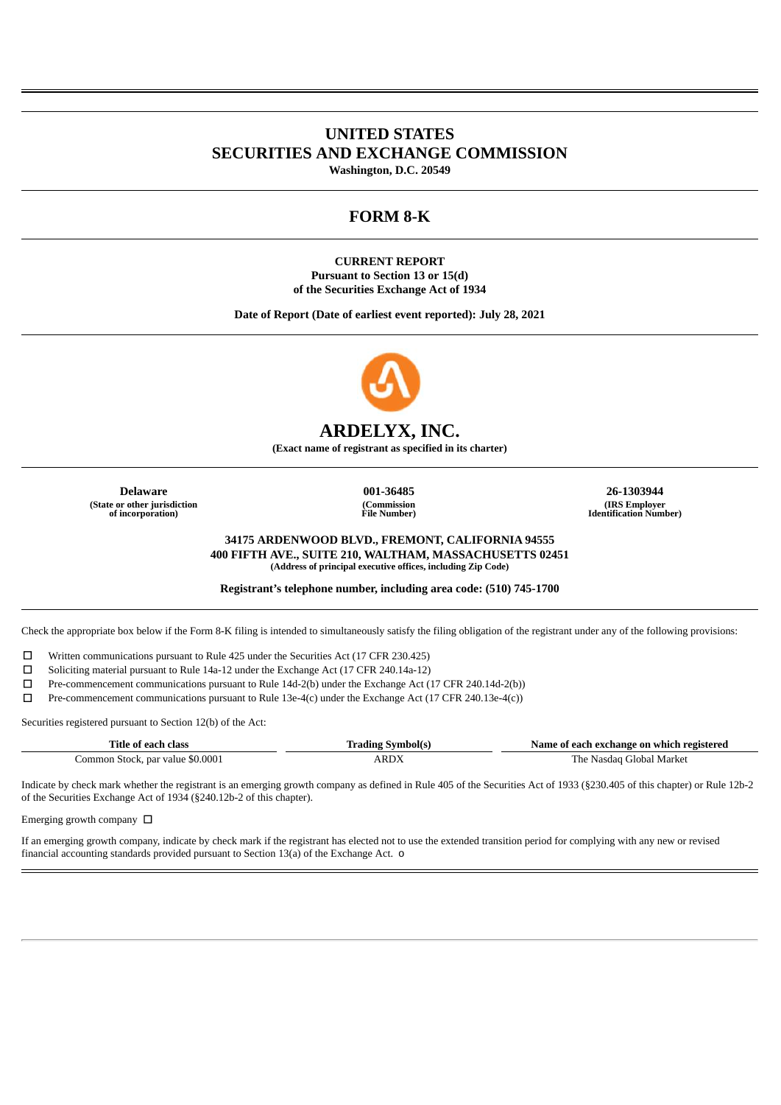# **UNITED STATES SECURITIES AND EXCHANGE COMMISSION**

**Washington, D.C. 20549**

# **FORM 8-K**

**CURRENT REPORT Pursuant to Section 13 or 15(d) of the Securities Exchange Act of 1934**

**Date of Report (Date of earliest event reported): July 28, 2021**



# **ARDELYX, INC.**

**(Exact name of registrant as specified in its charter)**

**(State or other jurisdiction of incorporation)**

**(Commission File Number)**

**Delaware 001-36485 26-1303944 (IRS Employer Identification Number)**

> **34175 ARDENWOOD BLVD., FREMONT, CALIFORNIA 94555 400 FIFTH AVE., SUITE 210, WALTHAM, MASSACHUSETTS 02451 (Address of principal executive offices, including Zip Code)**

**Registrant's telephone number, including area code: (510) 745-1700**

Check the appropriate box below if the Form 8-K filing is intended to simultaneously satisfy the filing obligation of the registrant under any of the following provisions:

☐ Written communications pursuant to Rule 425 under the Securities Act (17 CFR 230.425)

☐ Soliciting material pursuant to Rule 14a-12 under the Exchange Act (17 CFR 240.14a-12)

☐ Pre-commencement communications pursuant to Rule 14d-2(b) under the Exchange Act (17 CFR 240.14d-2(b))

☐ Pre-commencement communications pursuant to Rule 13e-4(c) under the Exchange Act (17 CFR 240.13e-4(c))

Securities registered pursuant to Section 12(b) of the Act:

| Title of each class              | <b>Trading Symbol(s)</b> | Name of each exchange on which registered |
|----------------------------------|--------------------------|-------------------------------------------|
| Common Stock, par value \$0.0001 | ARDY                     | The Nasdag Global Market                  |

Indicate by check mark whether the registrant is an emerging growth company as defined in Rule 405 of the Securities Act of 1933 (§230.405 of this chapter) or Rule 12b-2 of the Securities Exchange Act of 1934 (§240.12b-2 of this chapter).

Emerging growth company  $\Box$ 

If an emerging growth company, indicate by check mark if the registrant has elected not to use the extended transition period for complying with any new or revised financial accounting standards provided pursuant to Section 13(a) of the Exchange Act. o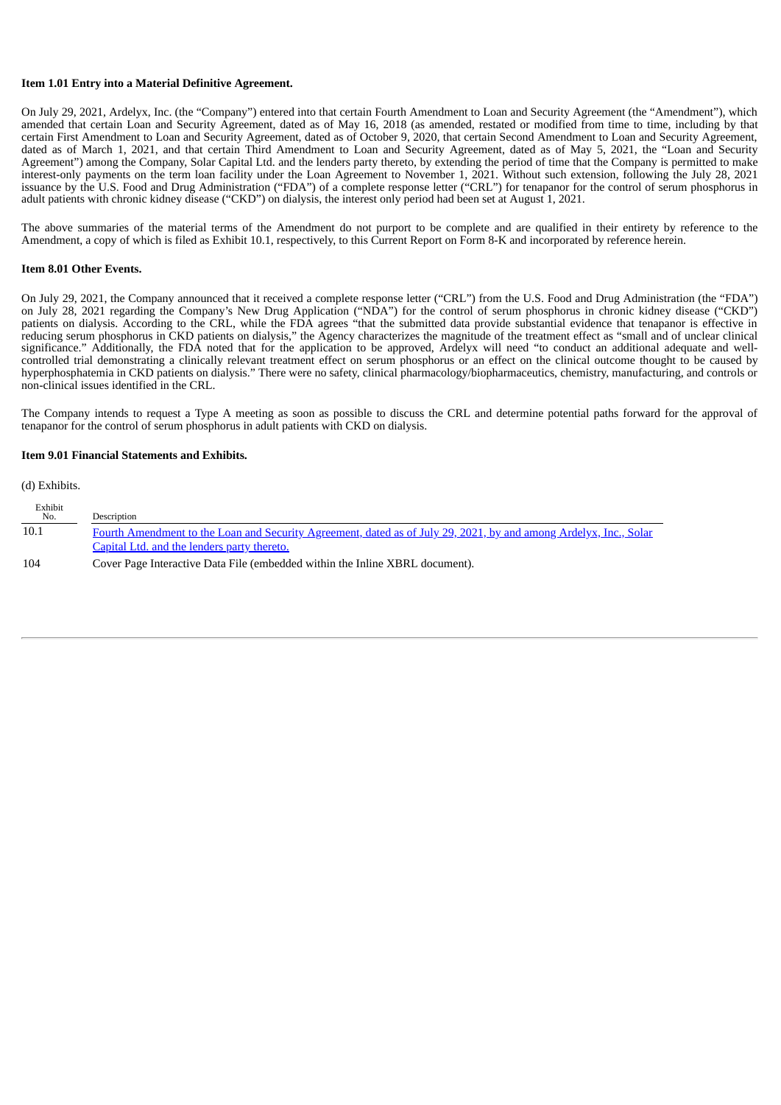### **Item 1.01 Entry into a Material Definitive Agreement.**

On July 29, 2021, Ardelyx, Inc. (the "Company") entered into that certain Fourth Amendment to Loan and Security Agreement (the "Amendment"), which amended that certain Loan and Security Agreement, dated as of May 16, 2018 (as amended, restated or modified from time to time, including by that certain First Amendment to Loan and Security Agreement, dated as of October 9, 2020, that certain Second Amendment to Loan and Security Agreement, dated as of March 1, 2021, and that certain Third Amendment to Loan and Security Agreement, dated as of May 5, 2021, the "Loan and Security Agreement") among the Company, Solar Capital Ltd. and the lenders party thereto, by extending the period of time that the Company is permitted to make interest-only payments on the term loan facility under the Loan Agreement to November 1, 2021. Without such extension, following the July 28, 2021 issuance by the U.S. Food and Drug Administration ("FDA") of a complete response letter ("CRL") for tenapanor for the control of serum phosphorus in adult patients with chronic kidney disease ("CKD") on dialysis, the interest only period had been set at August 1, 2021.

The above summaries of the material terms of the Amendment do not purport to be complete and are qualified in their entirety by reference to the Amendment, a copy of which is filed as Exhibit 10.1, respectively, to this Current Report on Form 8-K and incorporated by reference herein.

#### **Item 8.01 Other Events.**

On July 29, 2021, the Company announced that it received a complete response letter ("CRL") from the U.S. Food and Drug Administration (the "FDA") on July 28, 2021 regarding the Company's New Drug Application ("NDA") for the control of serum phosphorus in chronic kidney disease ("CKD") patients on dialysis. According to the CRL, while the FDA agrees "that the submitted data provide substantial evidence that tenapanor is effective in reducing serum phosphorus in CKD patients on dialysis," the Agency characterizes the magnitude of the treatment effect as "small and of unclear clinical significance." Additionally, the FDA noted that for the application to be approved, Ardelyx will need "to conduct an additional adequate and wellcontrolled trial demonstrating a clinically relevant treatment effect on serum phosphorus or an effect on the clinical outcome thought to be caused by hyperphosphatemia in CKD patients on dialysis." There were no safety, clinical pharmacology/biopharmaceutics, chemistry, manufacturing, and controls or non-clinical issues identified in the CRL.

The Company intends to request a Type A meeting as soon as possible to discuss the CRL and determine potential paths forward for the approval of tenapanor for the control of serum phosphorus in adult patients with CKD on dialysis.

#### **Item 9.01 Financial Statements and Exhibits.**

(d) Exhibits.  $E = \frac{1}{2}$ 

| Exhibit<br>No. | Description                                                                                                       |
|----------------|-------------------------------------------------------------------------------------------------------------------|
| 10.1           | Fourth Amendment to the Loan and Security Agreement, dated as of July 29, 2021, by and among Ardelyx, Inc., Solar |
|                | Capital Ltd. and the lenders party thereto.                                                                       |
| 104            | Cover Page Interactive Data File (embedded within the Inline XBRL document).                                      |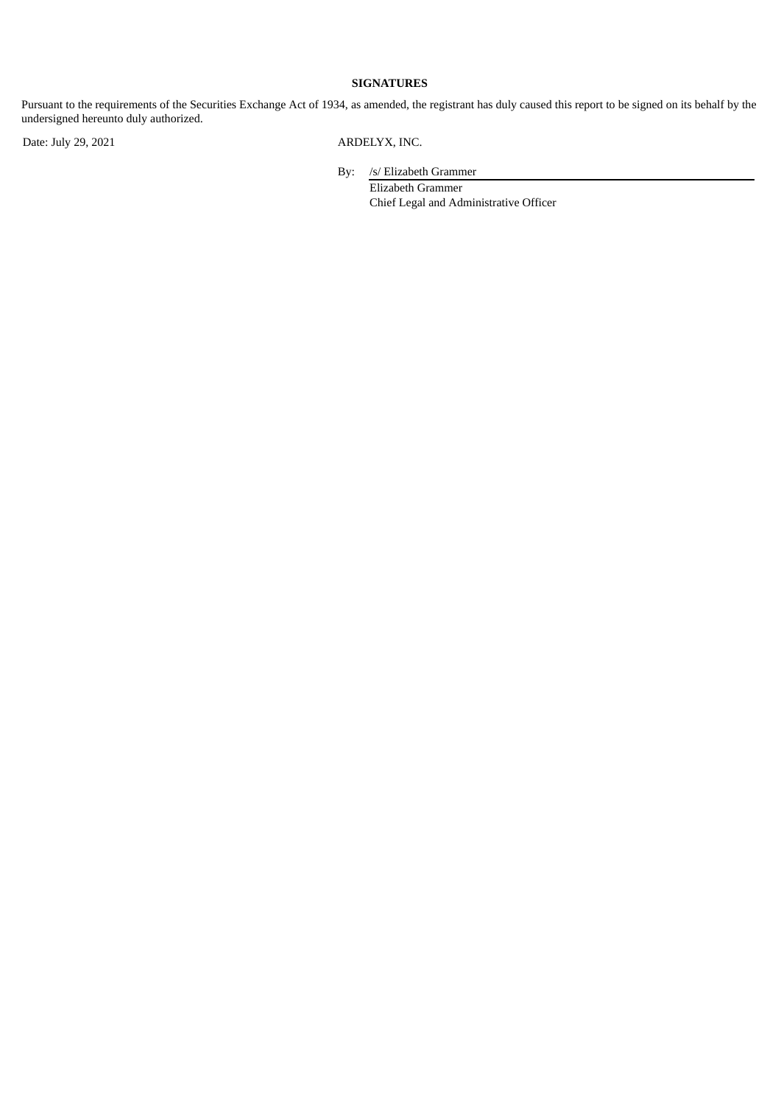# **SIGNATURES**

Pursuant to the requirements of the Securities Exchange Act of 1934, as amended, the registrant has duly caused this report to be signed on its behalf by the undersigned hereunto duly authorized.

Date: July 29, 2021 ARDELYX, INC.

By: /s/ Elizabeth Grammer

Elizabeth Grammer Chief Legal and Administrative Officer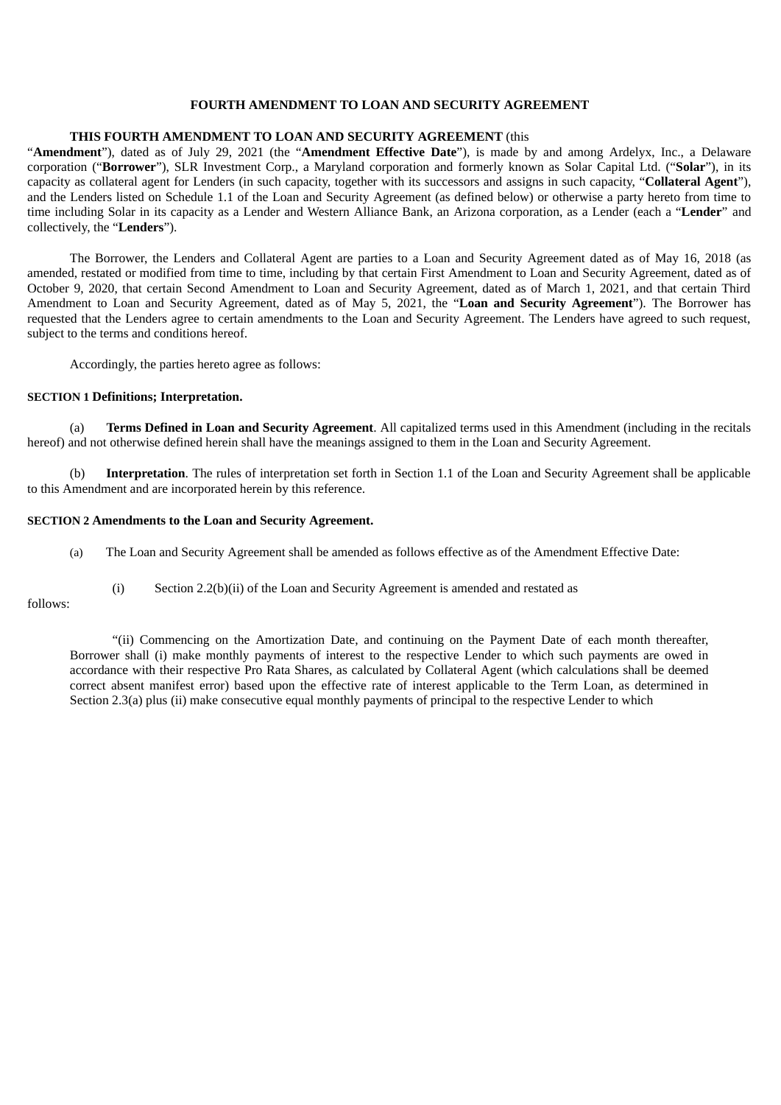## **FOURTH AMENDMENT TO LOAN AND SECURITY AGREEMENT**

## <span id="page-3-0"></span>**THIS FOURTH AMENDMENT TO LOAN AND SECURITY AGREEMENT** (this

"**Amendment**"), dated as of July 29, 2021 (the "**Amendment Effective Date**"), is made by and among Ardelyx, Inc., a Delaware corporation ("**Borrower**"), SLR Investment Corp., a Maryland corporation and formerly known as Solar Capital Ltd. ("**Solar**"), in its capacity as collateral agent for Lenders (in such capacity, together with its successors and assigns in such capacity, "**Collateral Agent**"), and the Lenders listed on Schedule 1.1 of the Loan and Security Agreement (as defined below) or otherwise a party hereto from time to time including Solar in its capacity as a Lender and Western Alliance Bank, an Arizona corporation, as a Lender (each a "**Lender**" and collectively, the "**Lenders**").

The Borrower, the Lenders and Collateral Agent are parties to a Loan and Security Agreement dated as of May 16, 2018 (as amended, restated or modified from time to time, including by that certain First Amendment to Loan and Security Agreement, dated as of October 9, 2020, that certain Second Amendment to Loan and Security Agreement, dated as of March 1, 2021, and that certain Third Amendment to Loan and Security Agreement, dated as of May 5, 2021, the "**Loan and Security Agreement**"). The Borrower has requested that the Lenders agree to certain amendments to the Loan and Security Agreement. The Lenders have agreed to such request, subject to the terms and conditions hereof.

Accordingly, the parties hereto agree as follows:

## **SECTION 1 Definitions; Interpretation.**

(a) **Terms Defined in Loan and Security Agreement**. All capitalized terms used in this Amendment (including in the recitals hereof) and not otherwise defined herein shall have the meanings assigned to them in the Loan and Security Agreement.

(b) **Interpretation**. The rules of interpretation set forth in Section 1.1 of the Loan and Security Agreement shall be applicable to this Amendment and are incorporated herein by this reference.

### **SECTION 2 Amendments to the Loan and Security Agreement.**

- (a) The Loan and Security Agreement shall be amended as follows effective as of the Amendment Effective Date:
	- (i) Section 2.2(b)(ii) of the Loan and Security Agreement is amended and restated as

#### follows:

"(ii) Commencing on the Amortization Date, and continuing on the Payment Date of each month thereafter, Borrower shall (i) make monthly payments of interest to the respective Lender to which such payments are owed in accordance with their respective Pro Rata Shares, as calculated by Collateral Agent (which calculations shall be deemed correct absent manifest error) based upon the effective rate of interest applicable to the Term Loan, as determined in Section 2.3(a) plus (ii) make consecutive equal monthly payments of principal to the respective Lender to which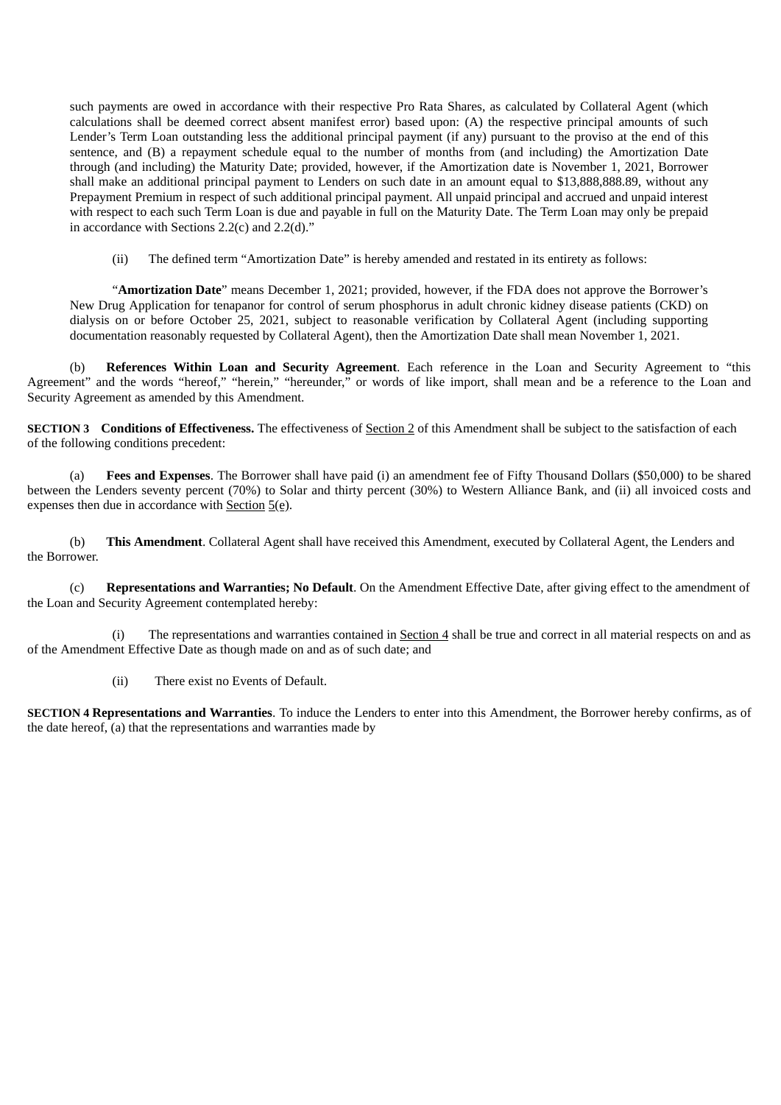such payments are owed in accordance with their respective Pro Rata Shares, as calculated by Collateral Agent (which calculations shall be deemed correct absent manifest error) based upon: (A) the respective principal amounts of such Lender's Term Loan outstanding less the additional principal payment (if any) pursuant to the proviso at the end of this sentence, and (B) a repayment schedule equal to the number of months from (and including) the Amortization Date through (and including) the Maturity Date; provided, however, if the Amortization date is November 1, 2021, Borrower shall make an additional principal payment to Lenders on such date in an amount equal to \$13,888,888.89, without any Prepayment Premium in respect of such additional principal payment. All unpaid principal and accrued and unpaid interest with respect to each such Term Loan is due and payable in full on the Maturity Date. The Term Loan may only be prepaid in accordance with Sections 2.2(c) and 2.2(d)."

(ii) The defined term "Amortization Date" is hereby amended and restated in its entirety as follows:

"**Amortization Date**" means December 1, 2021; provided, however, if the FDA does not approve the Borrower's New Drug Application for tenapanor for control of serum phosphorus in adult chronic kidney disease patients (CKD) on dialysis on or before October 25, 2021, subject to reasonable verification by Collateral Agent (including supporting documentation reasonably requested by Collateral Agent), then the Amortization Date shall mean November 1, 2021.

(b) **References Within Loan and Security Agreement**. Each reference in the Loan and Security Agreement to "this Agreement" and the words "hereof," "herein," "hereunder," or words of like import, shall mean and be a reference to the Loan and Security Agreement as amended by this Amendment.

**SECTION 3 Conditions of Effectiveness.** The effectiveness of Section 2 of this Amendment shall be subject to the satisfaction of each of the following conditions precedent:

(a) **Fees and Expenses**. The Borrower shall have paid (i) an amendment fee of Fifty Thousand Dollars (\$50,000) to be shared between the Lenders seventy percent (70%) to Solar and thirty percent (30%) to Western Alliance Bank, and (ii) all invoiced costs and expenses then due in accordance with  $Section 5(e)$ .

(b) **This Amendment**. Collateral Agent shall have received this Amendment, executed by Collateral Agent, the Lenders and the Borrower.

(c) **Representations and Warranties; No Default**. On the Amendment Effective Date, after giving effect to the amendment of the Loan and Security Agreement contemplated hereby:

(i) The representations and warranties contained in Section 4 shall be true and correct in all material respects on and as of the Amendment Effective Date as though made on and as of such date; and

(ii) There exist no Events of Default.

**SECTION 4 Representations and Warranties**. To induce the Lenders to enter into this Amendment, the Borrower hereby confirms, as of the date hereof, (a) that the representations and warranties made by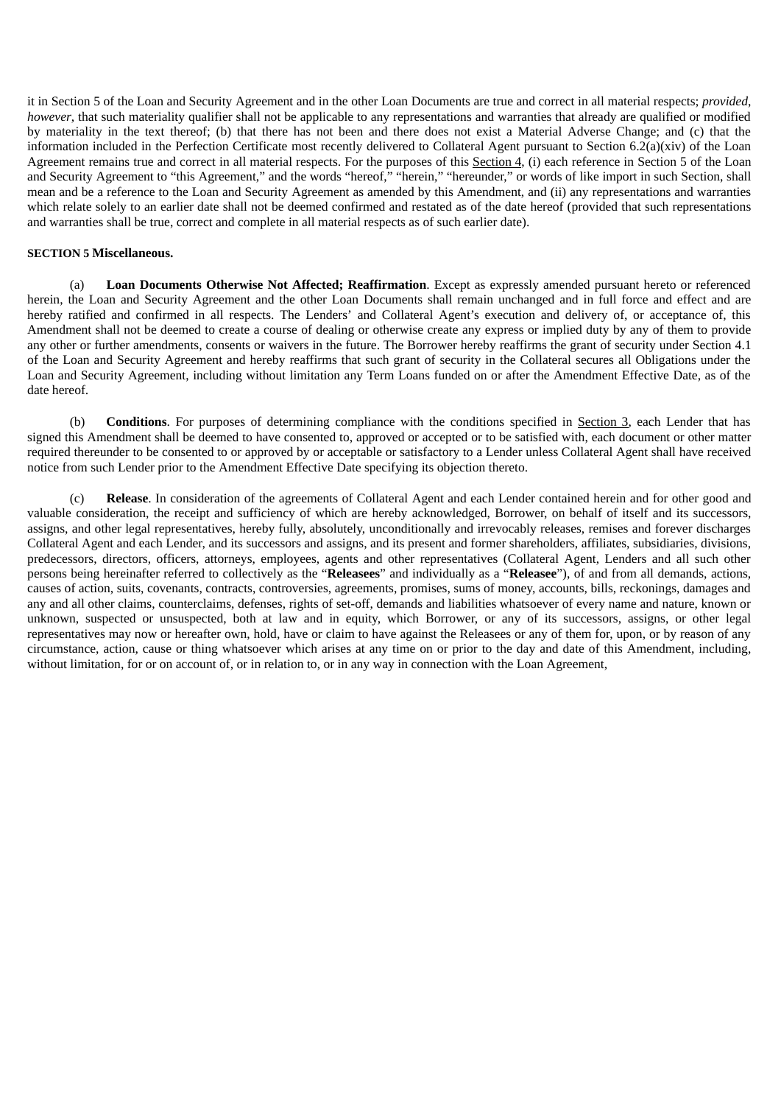it in Section 5 of the Loan and Security Agreement and in the other Loan Documents are true and correct in all material respects; *provided*, *however*, that such materiality qualifier shall not be applicable to any representations and warranties that already are qualified or modified by materiality in the text thereof; (b) that there has not been and there does not exist a Material Adverse Change; and (c) that the information included in the Perfection Certificate most recently delivered to Collateral Agent pursuant to Section 6.2(a)(xiv) of the Loan Agreement remains true and correct in all material respects. For the purposes of this Section 4, (i) each reference in Section 5 of the Loan and Security Agreement to "this Agreement," and the words "hereof," "herein," "hereunder," or words of like import in such Section, shall mean and be a reference to the Loan and Security Agreement as amended by this Amendment, and (ii) any representations and warranties which relate solely to an earlier date shall not be deemed confirmed and restated as of the date hereof (provided that such representations and warranties shall be true, correct and complete in all material respects as of such earlier date).

## **SECTION 5 Miscellaneous.**

(a) **Loan Documents Otherwise Not Affected; Reaffirmation**. Except as expressly amended pursuant hereto or referenced herein, the Loan and Security Agreement and the other Loan Documents shall remain unchanged and in full force and effect and are hereby ratified and confirmed in all respects. The Lenders' and Collateral Agent's execution and delivery of, or acceptance of, this Amendment shall not be deemed to create a course of dealing or otherwise create any express or implied duty by any of them to provide any other or further amendments, consents or waivers in the future. The Borrower hereby reaffirms the grant of security under Section 4.1 of the Loan and Security Agreement and hereby reaffirms that such grant of security in the Collateral secures all Obligations under the Loan and Security Agreement, including without limitation any Term Loans funded on or after the Amendment Effective Date, as of the date hereof.

(b) **Conditions**. For purposes of determining compliance with the conditions specified in Section 3, each Lender that has signed this Amendment shall be deemed to have consented to, approved or accepted or to be satisfied with, each document or other matter required thereunder to be consented to or approved by or acceptable or satisfactory to a Lender unless Collateral Agent shall have received notice from such Lender prior to the Amendment Effective Date specifying its objection thereto.

(c) **Release**. In consideration of the agreements of Collateral Agent and each Lender contained herein and for other good and valuable consideration, the receipt and sufficiency of which are hereby acknowledged, Borrower, on behalf of itself and its successors, assigns, and other legal representatives, hereby fully, absolutely, unconditionally and irrevocably releases, remises and forever discharges Collateral Agent and each Lender, and its successors and assigns, and its present and former shareholders, affiliates, subsidiaries, divisions, predecessors, directors, officers, attorneys, employees, agents and other representatives (Collateral Agent, Lenders and all such other persons being hereinafter referred to collectively as the "**Releasees**" and individually as a "**Releasee**"), of and from all demands, actions, causes of action, suits, covenants, contracts, controversies, agreements, promises, sums of money, accounts, bills, reckonings, damages and any and all other claims, counterclaims, defenses, rights of set-off, demands and liabilities whatsoever of every name and nature, known or unknown, suspected or unsuspected, both at law and in equity, which Borrower, or any of its successors, assigns, or other legal representatives may now or hereafter own, hold, have or claim to have against the Releasees or any of them for, upon, or by reason of any circumstance, action, cause or thing whatsoever which arises at any time on or prior to the day and date of this Amendment, including, without limitation, for or on account of, or in relation to, or in any way in connection with the Loan Agreement,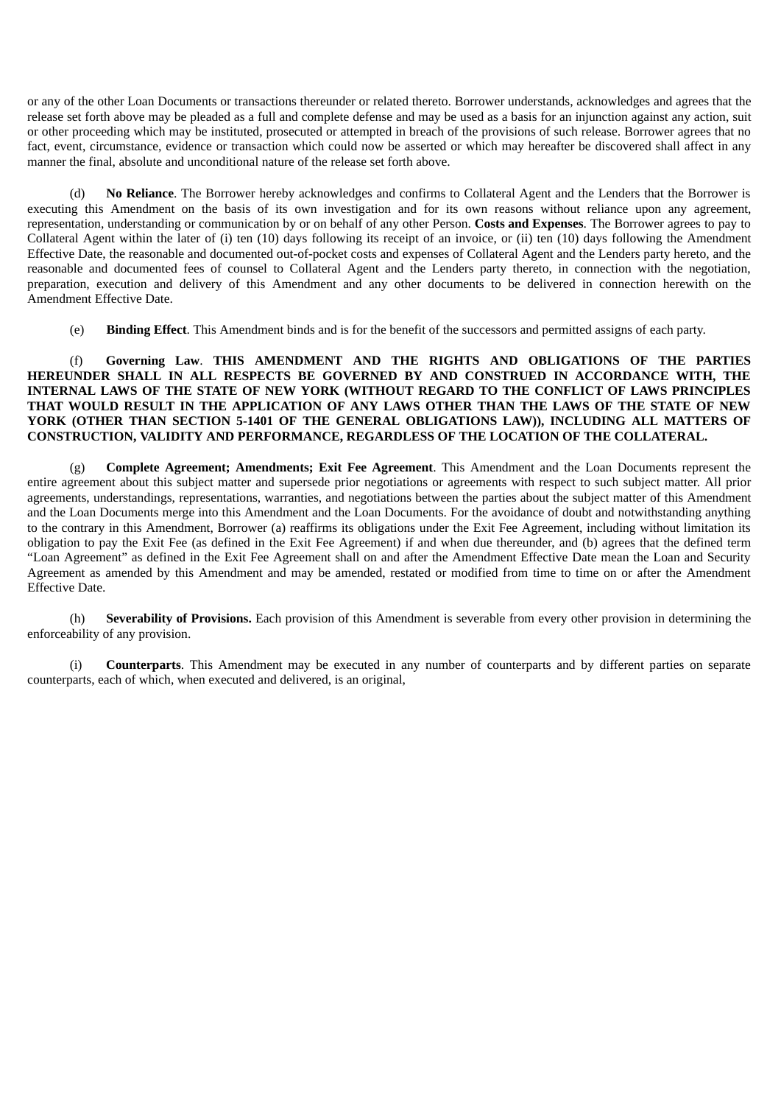or any of the other Loan Documents or transactions thereunder or related thereto. Borrower understands, acknowledges and agrees that the release set forth above may be pleaded as a full and complete defense and may be used as a basis for an injunction against any action, suit or other proceeding which may be instituted, prosecuted or attempted in breach of the provisions of such release. Borrower agrees that no fact, event, circumstance, evidence or transaction which could now be asserted or which may hereafter be discovered shall affect in any manner the final, absolute and unconditional nature of the release set forth above.

(d) **No Reliance**. The Borrower hereby acknowledges and confirms to Collateral Agent and the Lenders that the Borrower is executing this Amendment on the basis of its own investigation and for its own reasons without reliance upon any agreement, representation, understanding or communication by or on behalf of any other Person. **Costs and Expenses**. The Borrower agrees to pay to Collateral Agent within the later of (i) ten (10) days following its receipt of an invoice, or (ii) ten (10) days following the Amendment Effective Date, the reasonable and documented out-of-pocket costs and expenses of Collateral Agent and the Lenders party hereto, and the reasonable and documented fees of counsel to Collateral Agent and the Lenders party thereto, in connection with the negotiation, preparation, execution and delivery of this Amendment and any other documents to be delivered in connection herewith on the Amendment Effective Date.

(e) **Binding Effect**. This Amendment binds and is for the benefit of the successors and permitted assigns of each party.

## (f) **Governing Law**. **THIS AMENDMENT AND THE RIGHTS AND OBLIGATIONS OF THE PARTIES HEREUNDER SHALL IN ALL RESPECTS BE GOVERNED BY AND CONSTRUED IN ACCORDANCE WITH, THE INTERNAL LAWS OF THE STATE OF NEW YORK (WITHOUT REGARD TO THE CONFLICT OF LAWS PRINCIPLES THAT WOULD RESULT IN THE APPLICATION OF ANY LAWS OTHER THAN THE LAWS OF THE STATE OF NEW YORK (OTHER THAN SECTION 5-1401 OF THE GENERAL OBLIGATIONS LAW)), INCLUDING ALL MATTERS OF CONSTRUCTION, VALIDITY AND PERFORMANCE, REGARDLESS OF THE LOCATION OF THE COLLATERAL.**

(g) **Complete Agreement; Amendments; Exit Fee Agreement**. This Amendment and the Loan Documents represent the entire agreement about this subject matter and supersede prior negotiations or agreements with respect to such subject matter. All prior agreements, understandings, representations, warranties, and negotiations between the parties about the subject matter of this Amendment and the Loan Documents merge into this Amendment and the Loan Documents. For the avoidance of doubt and notwithstanding anything to the contrary in this Amendment, Borrower (a) reaffirms its obligations under the Exit Fee Agreement, including without limitation its obligation to pay the Exit Fee (as defined in the Exit Fee Agreement) if and when due thereunder, and (b) agrees that the defined term "Loan Agreement" as defined in the Exit Fee Agreement shall on and after the Amendment Effective Date mean the Loan and Security Agreement as amended by this Amendment and may be amended, restated or modified from time to time on or after the Amendment Effective Date.

(h) **Severability of Provisions.** Each provision of this Amendment is severable from every other provision in determining the enforceability of any provision.

(i) **Counterparts**. This Amendment may be executed in any number of counterparts and by different parties on separate counterparts, each of which, when executed and delivered, is an original,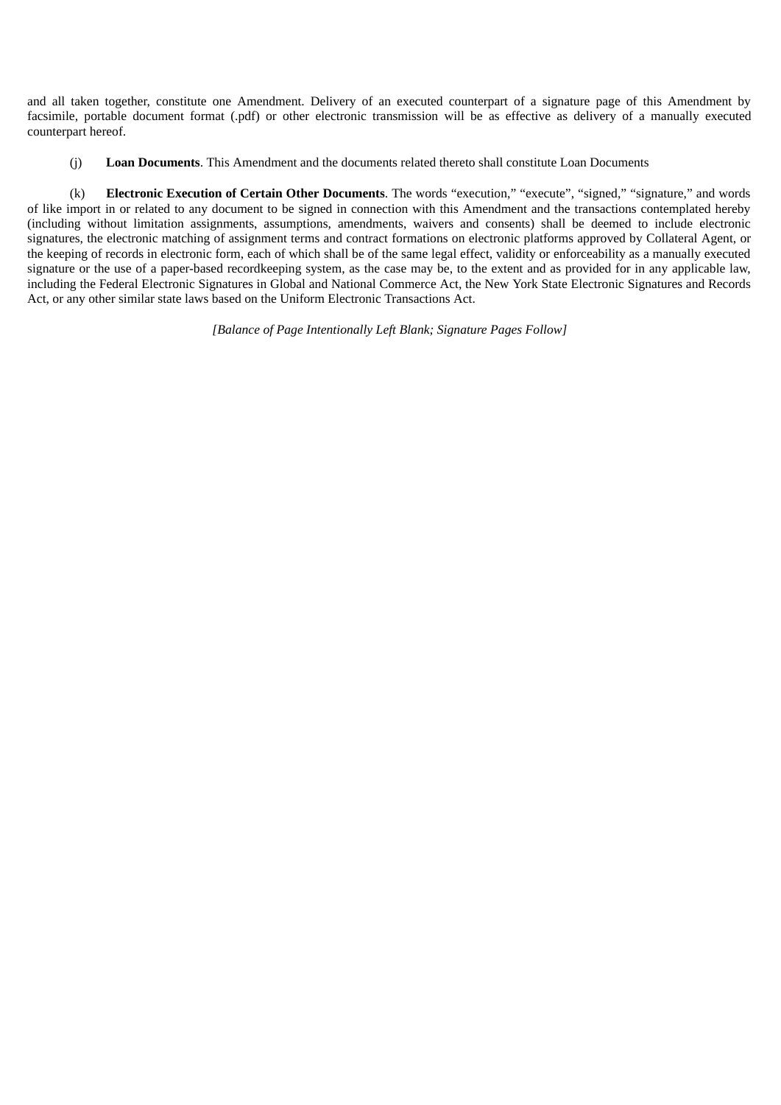and all taken together, constitute one Amendment. Delivery of an executed counterpart of a signature page of this Amendment by facsimile, portable document format (.pdf) or other electronic transmission will be as effective as delivery of a manually executed counterpart hereof.

(j) **Loan Documents**. This Amendment and the documents related thereto shall constitute Loan Documents

(k) **Electronic Execution of Certain Other Documents**. The words "execution," "execute", "signed," "signature," and words of like import in or related to any document to be signed in connection with this Amendment and the transactions contemplated hereby (including without limitation assignments, assumptions, amendments, waivers and consents) shall be deemed to include electronic signatures, the electronic matching of assignment terms and contract formations on electronic platforms approved by Collateral Agent, or the keeping of records in electronic form, each of which shall be of the same legal effect, validity or enforceability as a manually executed signature or the use of a paper-based recordkeeping system, as the case may be, to the extent and as provided for in any applicable law, including the Federal Electronic Signatures in Global and National Commerce Act, the New York State Electronic Signatures and Records Act, or any other similar state laws based on the Uniform Electronic Transactions Act.

*[Balance of Page Intentionally Left Blank; Signature Pages Follow]*